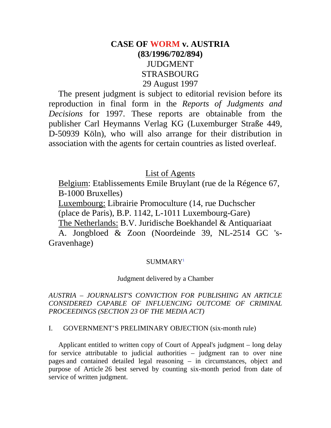## **CASE OF WORM v. AUSTRIA (83/1996/702/894)** JUDGMENT STRASBOURG 29 August 1997

The present judgment is subject to editorial revision before its reproduction in final form in the *Reports of Judgments and Decisions* for 1997. These reports are obtainable from the publisher Carl Heymanns Verlag KG (Luxemburger Straße 449, D-50939 Köln), who will also arrange for their distribution in association with the agents for certain countries as listed overleaf.

### List of Agents

Belgium: Etablissements Emile Bruylant (rue de la Régence 67, B-1000 Bruxelles)

Luxembourg: Librairie Promoculture (14, rue Duchscher (place de Paris), B.P. 1142, L-1011 Luxembourg-Gare) The Netherlands: B.V. Juridische Boekhandel & Antiquariaat

A. Jongbloed & Zoon (Noordeinde 39, NL-2514 GC 's-Gravenhage)

#### SUMMARY1

#### Judgment delivered by a Chamber

*AUSTRIA – JOURNALIST'S CONVICTION FOR PUBLISHING AN ARTICLE CONSIDERED CAPABLE OF INFLUENCING OUTCOME OF CRIMINAL PROCEEDINGS (SECTION 23 OF THE MEDIA ACT)*

#### I. GOVERNMENT'S PRELIMINARY OBJECTION (six-month rule)

Applicant entitled to written copy of Court of Appeal's judgment – long delay for service attributable to judicial authorities – judgment ran to over nine pages and contained detailed legal reasoning – in circumstances, object and purpose of Article 26 best served by counting six-month period from date of service of written judgment.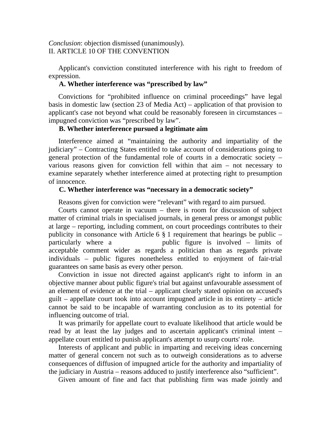*Conclusion*: objection dismissed (unanimously). II. ARTICLE 10 OF THE CONVENTION

Applicant's conviction constituted interference with his right to freedom of expression.

#### **A. Whether interference was "prescribed by law"**

Convictions for "prohibited influence on criminal proceedings" have legal basis in domestic law (section 23 of Media Act) – application of that provision to applicant's case not beyond what could be reasonably foreseen in circumstances – impugned conviction was "prescribed by law".

#### **B. Whether interference pursued a legitimate aim**

Interference aimed at "maintaining the authority and impartiality of the judiciary" – Contracting States entitled to take account of considerations going to general protection of the fundamental role of courts in a democratic society – various reasons given for conviction fell within that aim – not necessary to examine separately whether interference aimed at protecting right to presumption of innocence.

#### **C. Whether interference was "necessary in a democratic society"**

Reasons given for conviction were "relevant" with regard to aim pursued.

Courts cannot operate in vacuum – there is room for discussion of subject matter of criminal trials in specialised journals, in general press or amongst public at large – reporting, including comment, on court proceedings contributes to their publicity in consonance with Article 6  $\S$  1 requirement that hearings be public – particularly where a public figure is involved – limits of acceptable comment wider as regards a politician than as regards private individuals – public figures nonetheless entitled to enjoyment of fair-trial guarantees on same basis as every other person.

Conviction in issue not directed against applicant's right to inform in an objective manner about public figure's trial but against unfavourable assessment of an element of evidence at the trial – applicant clearly stated opinion on accused's guilt – appellate court took into account impugned article in its entirety – article cannot be said to be incapable of warranting conclusion as to its potential for influencing outcome of trial.

It was primarily for appellate court to evaluate likelihood that article would be read by at least the lay judges and to ascertain applicant's criminal intent – appellate court entitled to punish applicant's attempt to usurp courts' role.

Interests of applicant and public in imparting and receiving ideas concerning matter of general concern not such as to outweigh considerations as to adverse consequences of diffusion of impugned article for the authority and impartiality of the judiciary in Austria – reasons adduced to justify interference also "sufficient".

Given amount of fine and fact that publishing firm was made jointly and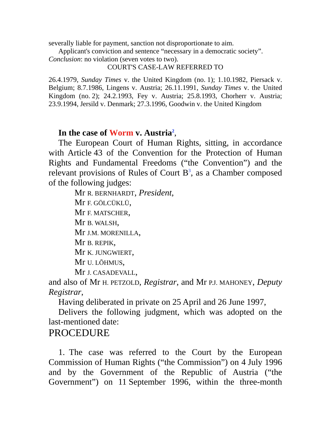severally liable for payment, sanction not disproportionate to aim.

Applicant's conviction and sentence "necessary in a democratic society".

*Conclusion*: no violation (seven votes to two).

#### COURT'S CASE-LAW REFERRED TO

26.4.1979, *Sunday Times* v. the United Kingdom (no. 1); 1.10.1982, Piersack v. Belgium; 8.7.1986, Lingens v. Austria; 26.11.1991, *Sunday Times* v. the United Kingdom (no. 2); 24.2.1993, Fey v. Austria; 25.8.1993, Chorherr v. Austria; 23.9.1994, Jersild v. Denmark; 27.3.1996, Goodwin v. the United Kingdom

### In the case of Worm **v.** Austria<sup>2</sup>,

The European Court of Human Rights, sitting, in accordance with Article 43 of the Convention for the Protection of Human Rights and Fundamental Freedoms ("the Convention") and the relevant provisions of Rules of Court  $B^3$ , as a Chamber composed of the following judges:

> Mr R. BERNHARDT, *President*, Mr F. GÖLCÜKLÜ, Mr F. MATSCHER, Mr B. WALSH, Mr J.M. MORENILLA, Mr B. REPIK, Mr K. JUNGWIERT, Mr U. LŌHMUS, Mr J. CASADEVALL,

and also of Mr H. PETZOLD, *Registrar*, and Mr P.J. MAHONEY, *Deputy Registrar*,

Having deliberated in private on 25 April and 26 June 1997,

Delivers the following judgment, which was adopted on the last-mentioned date:

### **PROCEDURE**

1. The case was referred to the Court by the European Commission of Human Rights ("the Commission") on 4 July 1996 and by the Government of the Republic of Austria ("the Government") on 11 September 1996, within the three-month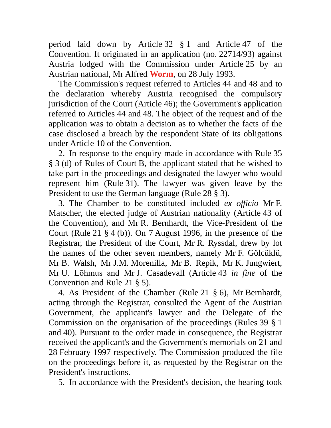period laid down by Article 32 § 1 and Article 47 of the Convention. It originated in an application (no. 22714/93) against Austria lodged with the Commission under Article 25 by an Austrian national, Mr Alfred **Worm**, on 28 July 1993.

The Commission's request referred to Articles 44 and 48 and to the declaration whereby Austria recognised the compulsory jurisdiction of the Court (Article 46); the Government's application referred to Articles 44 and 48. The object of the request and of the application was to obtain a decision as to whether the facts of the case disclosed a breach by the respondent State of its obligations under Article 10 of the Convention.

2. In response to the enquiry made in accordance with Rule 35 § 3 (d) of Rules of Court B, the applicant stated that he wished to take part in the proceedings and designated the lawyer who would represent him (Rule 31). The lawyer was given leave by the President to use the German language (Rule 28 § 3).

3. The Chamber to be constituted included *ex officio* Mr F. Matscher, the elected judge of Austrian nationality (Article 43 of the Convention), and Mr R. Bernhardt, the Vice-President of the Court (Rule 21 § 4 (b)). On 7 August 1996, in the presence of the Registrar, the President of the Court, Mr R. Ryssdal, drew by lot the names of the other seven members, namely Mr F. Gölcüklü, Mr B. Walsh, Mr J.M. Morenilla, Mr B. Repik, Mr K. Jungwiert, Mr U. Lōhmus and Mr J. Casadevall (Article 43 *in fine* of the Convention and Rule 21 § 5).

4. As President of the Chamber (Rule 21 § 6), Mr Bernhardt, acting through the Registrar, consulted the Agent of the Austrian Government, the applicant's lawyer and the Delegate of the Commission on the organisation of the proceedings (Rules 39 § 1 and 40). Pursuant to the order made in consequence, the Registrar received the applicant's and the Government's memorials on 21 and 28 February 1997 respectively. The Commission produced the file on the proceedings before it, as requested by the Registrar on the President's instructions.

5. In accordance with the President's decision, the hearing took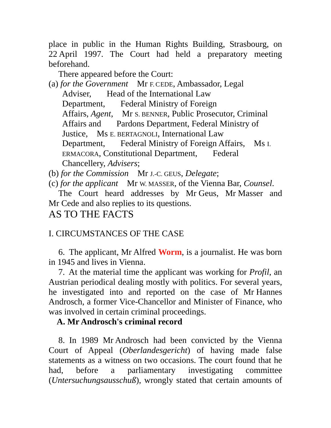place in public in the Human Rights Building, Strasbourg, on 22 April 1997. The Court had held a preparatory meeting beforehand.

There appeared before the Court:

(a) *for the Government* Mr F. CEDE, Ambassador, Legal Adviser, Head of the International Law Department, Federal Ministry of Foreign Affairs, *Agent*, Mr S. BENNER, Public Prosecutor, Criminal Affairs and Pardons Department, Federal Ministry of Justice, Ms E. BERTAGNOLI, International Law Department, Federal Ministry of Foreign Affairs, Ms I. ERMACORA, Constitutional Department, Federal Chancellery, *Advisers*;

(b) *for the Commission* Mr J.-C. GEUS, *Delegate*;

(c) *for the applicant* Mr W. MASSER, of the Vienna Bar, *Counsel*.

The Court heard addresses by Mr Geus, Mr Masser and Mr Cede and also replies to its questions.

## AS TO THE FACTS

## I. CIRCUMSTANCES OF THE CASE

6. The applicant, Mr Alfred **Worm**, is a journalist. He was born in 1945 and lives in Vienna.

7. At the material time the applicant was working for *Profil*, an Austrian periodical dealing mostly with politics. For several years, he investigated into and reported on the case of Mr Hannes Androsch, a former Vice-Chancellor and Minister of Finance, who was involved in certain criminal proceedings.

### **A. Mr Androsch's criminal record**

8. In 1989 Mr Androsch had been convicted by the Vienna Court of Appeal (*Oberlandesgericht*) of having made false statements as a witness on two occasions. The court found that he had, before a parliamentary investigating committee (*Untersuchungsausschuß*), wrongly stated that certain amounts of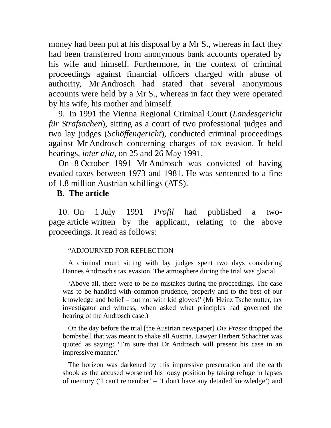money had been put at his disposal by a Mr S., whereas in fact they had been transferred from anonymous bank accounts operated by his wife and himself. Furthermore, in the context of criminal proceedings against financial officers charged with abuse of authority, Mr Androsch had stated that several anonymous accounts were held by a Mr S., whereas in fact they were operated by his wife, his mother and himself.

9. In 1991 the Vienna Regional Criminal Court (*Landesgericht für Strafsachen*), sitting as a court of two professional judges and two lay judges (*Schöffengericht*), conducted criminal proceedings against Mr Androsch concerning charges of tax evasion. It held hearings, *inter alia*, on 25 and 26 May 1991.

On 8 October 1991 Mr Androsch was convicted of having evaded taxes between 1973 and 1981. He was sentenced to a fine of 1.8 million Austrian schillings (ATS).

### **B. The article**

10. On 1 July 1991 *Profil* had published a twopage article written by the applicant, relating to the above proceedings. It read as follows:

#### "ADJOURNED FOR REFLECTION

A criminal court sitting with lay judges spent two days considering Hannes Androsch's tax evasion. The atmosphere during the trial was glacial.

'Above all, there were to be no mistakes during the proceedings. The case was to be handled with common prudence, properly and to the best of our knowledge and belief – but not with kid gloves!' (Mr Heinz Tschernutter, tax investigator and witness, when asked what principles had governed the hearing of the Androsch case.)

On the day before the trial [the Austrian newspaper] *Die Presse* dropped the bombshell that was meant to shake all Austria. Lawyer Herbert Schachter was quoted as saying: 'I'm sure that Dr Androsch will present his case in an impressive manner.'

The horizon was darkened by this impressive presentation and the earth shook as the accused worsened his lousy position by taking refuge in lapses of memory ('I can't remember' – 'I don't have any detailed knowledge') and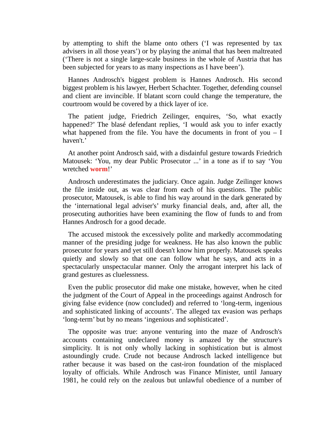by attempting to shift the blame onto others ('I was represented by tax advisers in all those years') or by playing the animal that has been maltreated ('There is not a single large-scale business in the whole of Austria that has been subjected for years to as many inspections as I have been').

Hannes Androsch's biggest problem is Hannes Androsch. His second biggest problem is his lawyer, Herbert Schachter. Together, defending counsel and client are invincible. If blatant scorn could change the temperature, the courtroom would be covered by a thick layer of ice.

The patient judge, Friedrich Zeilinger, enquires, 'So, what exactly happened?' The blasé defendant replies, 'I would ask you to infer exactly what happened from the file. You have the documents in front of you  $- I$ haven't.'

At another point Androsch said, with a disdainful gesture towards Friedrich Matousek: 'You, my dear Public Prosecutor ...' in a tone as if to say 'You wretched **worm**!'

Androsch underestimates the judiciary. Once again. Judge Zeilinger knows the file inside out, as was clear from each of his questions. The public prosecutor, Matousek, is able to find his way around in the dark generated by the 'international legal adviser's' murky financial deals, and, after all, the prosecuting authorities have been examining the flow of funds to and from Hannes Androsch for a good decade.

The accused mistook the excessively polite and markedly accommodating manner of the presiding judge for weakness. He has also known the public prosecutor for years and yet still doesn't know him properly. Matousek speaks quietly and slowly so that one can follow what he says, and acts in a spectacularly unspectacular manner. Only the arrogant interpret his lack of grand gestures as cluelessness.

Even the public prosecutor did make one mistake, however, when he cited the judgment of the Court of Appeal in the proceedings against Androsch for giving false evidence (now concluded) and referred to 'long-term, ingenious and sophisticated linking of accounts'. The alleged tax evasion was perhaps 'long-term' but by no means 'ingenious and sophisticated'.

The opposite was true: anyone venturing into the maze of Androsch's accounts containing undeclared money is amazed by the structure's simplicity. It is not only wholly lacking in sophistication but is almost astoundingly crude. Crude not because Androsch lacked intelligence but rather because it was based on the cast-iron foundation of the misplaced loyalty of officials. While Androsch was Finance Minister, until January 1981, he could rely on the zealous but unlawful obedience of a number of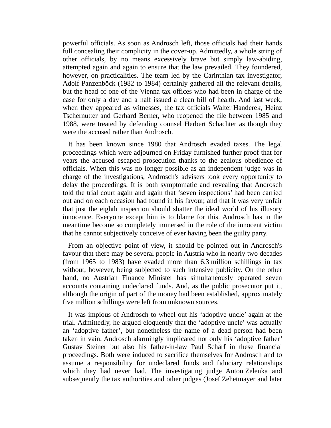powerful officials. As soon as Androsch left, those officials had their hands full concealing their complicity in the cover-up. Admittedly, a whole string of other officials, by no means excessively brave but simply law-abiding, attempted again and again to ensure that the law prevailed. They foundered, however, on practicalities. The team led by the Carinthian tax investigator, Adolf Panzenböck (1982 to 1984) certainly gathered all the relevant details, but the head of one of the Vienna tax offices who had been in charge of the case for only a day and a half issued a clean bill of health. And last week, when they appeared as witnesses, the tax officials Walter Handerek, Heinz Tschernutter and Gerhard Berner, who reopened the file between 1985 and 1988, were treated by defending counsel Herbert Schachter as though they were the accused rather than Androsch.

It has been known since 1980 that Androsch evaded taxes. The legal proceedings which were adjourned on Friday furnished further proof that for years the accused escaped prosecution thanks to the zealous obedience of officials. When this was no longer possible as an independent judge was in charge of the investigations, Androsch's advisers took every opportunity to delay the proceedings. It is both symptomatic and revealing that Androsch told the trial court again and again that 'seven inspections' had been carried out and on each occasion had found in his favour, and that it was very unfair that just the eighth inspection should shatter the ideal world of his illusory innocence. Everyone except him is to blame for this. Androsch has in the meantime become so completely immersed in the role of the innocent victim that he cannot subjectively conceive of ever having been the guilty party.

From an objective point of view, it should be pointed out in Androsch's favour that there may be several people in Austria who in nearly two decades (from 1965 to 1983) have evaded more than 6.3 million schillings in tax without, however, being subjected to such intensive publicity. On the other hand, no Austrian Finance Minister has simultaneously operated seven accounts containing undeclared funds. And, as the public prosecutor put it, although the origin of part of the money had been established, approximately five million schillings were left from unknown sources.

It was impious of Androsch to wheel out his 'adoptive uncle' again at the trial. Admittedly, he argued eloquently that the 'adoptive uncle' was actually an 'adoptive father', but nonetheless the name of a dead person had been taken in vain. Androsch alarmingly implicated not only his 'adoptive father' Gustav Steiner but also his father-in-law Paul Schärf in these financial proceedings. Both were induced to sacrifice themselves for Androsch and to assume a responsibility for undeclared funds and fiduciary relationships which they had never had. The investigating judge Anton Zelenka and subsequently the tax authorities and other judges (Josef Zehetmayer and later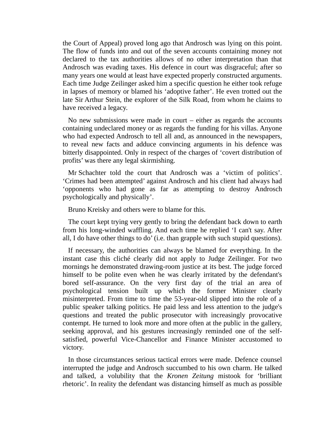the Court of Appeal) proved long ago that Androsch was lying on this point. The flow of funds into and out of the seven accounts containing money not declared to the tax authorities allows of no other interpretation than that Androsch was evading taxes. His defence in court was disgraceful; after so many years one would at least have expected properly constructed arguments. Each time Judge Zeilinger asked him a specific question he either took refuge in lapses of memory or blamed his 'adoptive father'. He even trotted out the late Sir Arthur Stein, the explorer of the Silk Road, from whom he claims to have received a legacy.

No new submissions were made in court – either as regards the accounts containing undeclared money or as regards the funding for his villas. Anyone who had expected Androsch to tell all and, as announced in the newspapers, to reveal new facts and adduce convincing arguments in his defence was bitterly disappointed. Only in respect of the charges of 'covert distribution of profits' was there any legal skirmishing.

Mr Schachter told the court that Androsch was a 'victim of politics'. 'Crimes had been attempted' against Androsch and his client had always had 'opponents who had gone as far as attempting to destroy Androsch psychologically and physically'.

Bruno Kreisky and others were to blame for this.

The court kept trying very gently to bring the defendant back down to earth from his long-winded waffling. And each time he replied 'I can't say. After all, I do have other things to do' (i.e. than grapple with such stupid questions).

If necessary, the authorities can always be blamed for everything. In the instant case this cliché clearly did not apply to Judge Zeilinger. For two mornings he demonstrated drawing-room justice at its best. The judge forced himself to be polite even when he was clearly irritated by the defendant's bored self-assurance. On the very first day of the trial an area of psychological tension built up which the former Minister clearly misinterpreted. From time to time the 53-year-old slipped into the role of a public speaker talking politics. He paid less and less attention to the judge's questions and treated the public prosecutor with increasingly provocative contempt. He turned to look more and more often at the public in the gallery, seeking approval, and his gestures increasingly reminded one of the selfsatisfied, powerful Vice-Chancellor and Finance Minister accustomed to victory.

In those circumstances serious tactical errors were made. Defence counsel interrupted the judge and Androsch succumbed to his own charm. He talked and talked, a volubility that the *Kronen Zeitung* mistook for 'brilliant rhetoric'. In reality the defendant was distancing himself as much as possible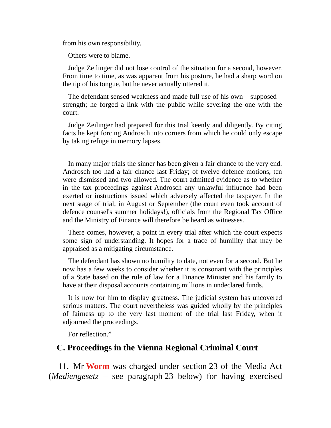from his own responsibility.

Others were to blame.

Judge Zeilinger did not lose control of the situation for a second, however. From time to time, as was apparent from his posture, he had a sharp word on the tip of his tongue, but he never actually uttered it.

The defendant sensed weakness and made full use of his own – supposed – strength; he forged a link with the public while severing the one with the court.

Judge Zeilinger had prepared for this trial keenly and diligently. By citing facts he kept forcing Androsch into corners from which he could only escape by taking refuge in memory lapses.

In many major trials the sinner has been given a fair chance to the very end. Androsch too had a fair chance last Friday; of twelve defence motions, ten were dismissed and two allowed. The court admitted evidence as to whether in the tax proceedings against Androsch any unlawful influence had been exerted or instructions issued which adversely affected the taxpayer. In the next stage of trial, in August or September (the court even took account of defence counsel's summer holidays!), officials from the Regional Tax Office and the Ministry of Finance will therefore be heard as witnesses.

There comes, however, a point in every trial after which the court expects some sign of understanding. It hopes for a trace of humility that may be appraised as a mitigating circumstance.

The defendant has shown no humility to date, not even for a second. But he now has a few weeks to consider whether it is consonant with the principles of a State based on the rule of law for a Finance Minister and his family to have at their disposal accounts containing millions in undeclared funds.

It is now for him to display greatness. The judicial system has uncovered serious matters. The court nevertheless was guided wholly by the principles of fairness up to the very last moment of the trial last Friday, when it adjourned the proceedings.

For reflection."

#### **C. Proceedings in the Vienna Regional Criminal Court**

11. Mr **Worm** was charged under section 23 of the Media Act (*Mediengesetz* – see paragraph 23 below) for having exercised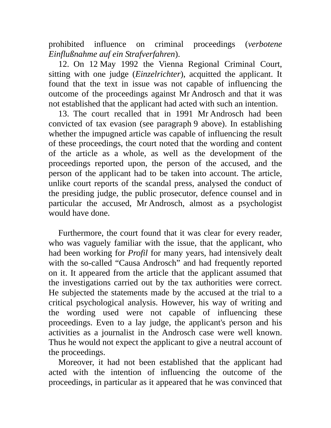prohibited influence on criminal proceedings (*verbotene Einflußnahme auf ein Strafverfahren*).

12. On 12 May 1992 the Vienna Regional Criminal Court, sitting with one judge (*Einzelrichter*), acquitted the applicant. It found that the text in issue was not capable of influencing the outcome of the proceedings against Mr Androsch and that it was not established that the applicant had acted with such an intention.

13. The court recalled that in 1991 Mr Androsch had been convicted of tax evasion (see paragraph 9 above). In establishing whether the impugned article was capable of influencing the result of these proceedings, the court noted that the wording and content of the article as a whole, as well as the development of the proceedings reported upon, the person of the accused, and the person of the applicant had to be taken into account. The article, unlike court reports of the scandal press, analysed the conduct of the presiding judge, the public prosecutor, defence counsel and in particular the accused, Mr Androsch, almost as a psychologist would have done.

Furthermore, the court found that it was clear for every reader, who was vaguely familiar with the issue, that the applicant, who had been working for *Profil* for many years, had intensively dealt with the so-called "Causa Androsch" and had frequently reported on it. It appeared from the article that the applicant assumed that the investigations carried out by the tax authorities were correct. He subjected the statements made by the accused at the trial to a critical psychological analysis. However, his way of writing and the wording used were not capable of influencing these proceedings. Even to a lay judge, the applicant's person and his activities as a journalist in the Androsch case were well known. Thus he would not expect the applicant to give a neutral account of the proceedings.

Moreover, it had not been established that the applicant had acted with the intention of influencing the outcome of the proceedings, in particular as it appeared that he was convinced that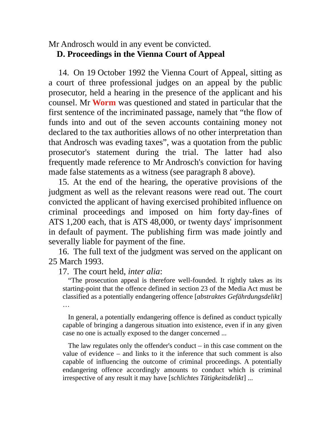### Mr Androsch would in any event be convicted. **D. Proceedings in the Vienna Court of Appeal**

14. On 19 October 1992 the Vienna Court of Appeal, sitting as a court of three professional judges on an appeal by the public prosecutor, held a hearing in the presence of the applicant and his counsel. Mr **Worm** was questioned and stated in particular that the first sentence of the incriminated passage, namely that "the flow of funds into and out of the seven accounts containing money not declared to the tax authorities allows of no other interpretation than that Androsch was evading taxes", was a quotation from the public prosecutor's statement during the trial. The latter had also frequently made reference to Mr Androsch's conviction for having made false statements as a witness (see paragraph 8 above).

15. At the end of the hearing, the operative provisions of the judgment as well as the relevant reasons were read out. The court convicted the applicant of having exercised prohibited influence on criminal proceedings and imposed on him forty day-fines of ATS 1,200 each, that is ATS 48,000, or twenty days' imprisonment in default of payment. The publishing firm was made jointly and severally liable for payment of the fine.

16. The full text of the judgment was served on the applicant on 25 March 1993.

17. The court held, *inter alia*:

"The prosecution appeal is therefore well-founded. It rightly takes as its starting-point that the offence defined in section 23 of the Media Act must be classified as a potentially endangering offence [*abstraktes Gefährdungsdelikt*] …

In general, a potentially endangering offence is defined as conduct typically capable of bringing a dangerous situation into existence, even if in any given case no one is actually exposed to the danger concerned ...

The law regulates only the offender's conduct – in this case comment on the value of evidence – and links to it the inference that such comment is also capable of influencing the outcome of criminal proceedings. A potentially endangering offence accordingly amounts to conduct which is criminal irrespective of any result it may have [*schlichtes Tätigkeitsdelikt*] ...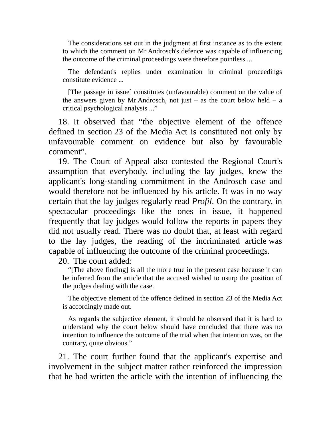The considerations set out in the judgment at first instance as to the extent to which the comment on Mr Androsch's defence was capable of influencing the outcome of the criminal proceedings were therefore pointless ...

The defendant's replies under examination in criminal proceedings constitute evidence ...

[The passage in issue] constitutes (unfavourable) comment on the value of the answers given by Mr Androsch, not just – as the court below held – a critical psychological analysis ..."

18. It observed that "the objective element of the offence defined in section 23 of the Media Act is constituted not only by unfavourable comment on evidence but also by favourable comment".

19. The Court of Appeal also contested the Regional Court's assumption that everybody, including the lay judges, knew the applicant's long-standing commitment in the Androsch case and would therefore not be influenced by his article. It was in no way certain that the lay judges regularly read *Profil*. On the contrary, in spectacular proceedings like the ones in issue, it happened frequently that lay judges would follow the reports in papers they did not usually read. There was no doubt that, at least with regard to the lay judges, the reading of the incriminated article was capable of influencing the outcome of the criminal proceedings.

20. The court added:

"[The above finding] is all the more true in the present case because it can be inferred from the article that the accused wished to usurp the position of the judges dealing with the case.

The objective element of the offence defined in section 23 of the Media Act is accordingly made out.

As regards the subjective element, it should be observed that it is hard to understand why the court below should have concluded that there was no intention to influence the outcome of the trial when that intention was, on the contrary, quite obvious."

21. The court further found that the applicant's expertise and involvement in the subject matter rather reinforced the impression that he had written the article with the intention of influencing the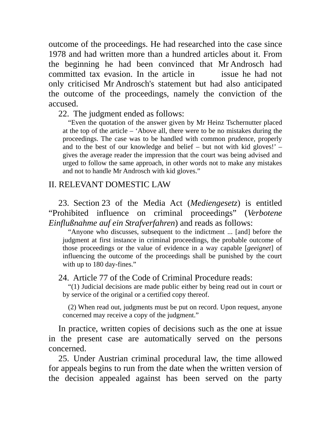outcome of the proceedings. He had researched into the case since 1978 and had written more than a hundred articles about it. From the beginning he had been convinced that Mr Androsch had committed tax evasion. In the article in issue he had not only criticised Mr Androsch's statement but had also anticipated the outcome of the proceedings, namely the conviction of the accused.

22. The judgment ended as follows:

"Even the quotation of the answer given by Mr Heinz Tschernutter placed at the top of the article – 'Above all, there were to be no mistakes during the proceedings. The case was to be handled with common prudence, properly and to the best of our knowledge and belief – but not with kid gloves!' – gives the average reader the impression that the court was being advised and urged to follow the same approach, in other words not to make any mistakes and not to handle Mr Androsch with kid gloves."

### II. RELEVANT DOMESTIC LAW

23. Section 23 of the Media Act (*Mediengesetz*) is entitled "Prohibited influence on criminal proceedings" (*Verbotene Einflußnahme auf ein Strafverfahren*) and reads as follows:

"Anyone who discusses, subsequent to the indictment ... [and] before the judgment at first instance in criminal proceedings, the probable outcome of those proceedings or the value of evidence in a way capable [*geeignet*] of influencing the outcome of the proceedings shall be punished by the court with up to 180 day-fines."

24. Article 77 of the Code of Criminal Procedure reads:

"(1) Judicial decisions are made public either by being read out in court or by service of the original or a certified copy thereof.

(2) When read out, judgments must be put on record. Upon request, anyone concerned may receive a copy of the judgment."

In practice, written copies of decisions such as the one at issue in the present case are automatically served on the persons concerned.

25. Under Austrian criminal procedural law, the time allowed for appeals begins to run from the date when the written version of the decision appealed against has been served on the party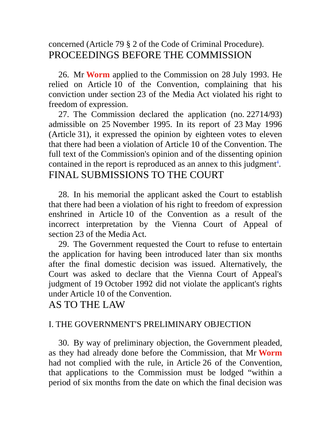## concerned (Article 79 § 2 of the Code of Criminal Procedure). PROCEEDINGS BEFORE THE COMMISSION

26. Mr **Worm** applied to the Commission on 28 July 1993. He relied on Article 10 of the Convention, complaining that his conviction under section 23 of the Media Act violated his right to freedom of expression.

27. The Commission declared the application (no. 22714/93) admissible on 25 November 1995. In its report of 23 May 1996 (Article 31), it expressed the opinion by eighteen votes to eleven that there had been a violation of Article 10 of the Convention. The full text of the Commission's opinion and of the dissenting opinion contained in the report is reproduced as an annex to this judgment<sup>4</sup>. FINAL SUBMISSIONS TO THE COURT

28. In his memorial the applicant asked the Court to establish that there had been a violation of his right to freedom of expression enshrined in Article 10 of the Convention as a result of the incorrect interpretation by the Vienna Court of Appeal of section 23 of the Media Act.

29. The Government requested the Court to refuse to entertain the application for having been introduced later than six months after the final domestic decision was issued. Alternatively, the Court was asked to declare that the Vienna Court of Appeal's judgment of 19 October 1992 did not violate the applicant's rights under Article 10 of the Convention.

## AS TO THE LAW

### I. THE GOVERNMENT'S PRELIMINARY OBJECTION

30. By way of preliminary objection, the Government pleaded, as they had already done before the Commission, that Mr **Worm** had not complied with the rule, in Article 26 of the Convention, that applications to the Commission must be lodged "within a period of six months from the date on which the final decision was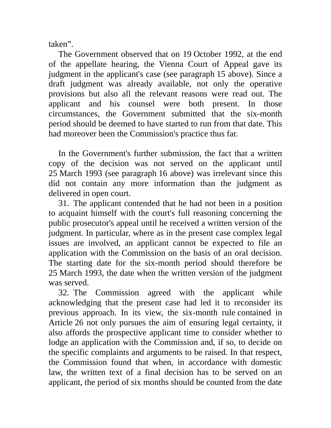taken".

The Government observed that on 19 October 1992, at the end of the appellate hearing, the Vienna Court of Appeal gave its judgment in the applicant's case (see paragraph 15 above). Since a draft judgment was already available, not only the operative provisions but also all the relevant reasons were read out. The applicant and his counsel were both present. In those circumstances, the Government submitted that the six-month period should be deemed to have started to run from that date. This had moreover been the Commission's practice thus far.

In the Government's further submission, the fact that a written copy of the decision was not served on the applicant until 25 March 1993 (see paragraph 16 above) was irrelevant since this did not contain any more information than the judgment as delivered in open court.

31. The applicant contended that he had not been in a position to acquaint himself with the court's full reasoning concerning the public prosecutor's appeal until he received a written version of the judgment. In particular, where as in the present case complex legal issues are involved, an applicant cannot be expected to file an application with the Commission on the basis of an oral decision. The starting date for the six-month period should therefore be 25 March 1993, the date when the written version of the judgment was served.

32. The Commission agreed with the applicant while acknowledging that the present case had led it to reconsider its previous approach. In its view, the six-month rule contained in Article 26 not only pursues the aim of ensuring legal certainty, it also affords the prospective applicant time to consider whether to lodge an application with the Commission and, if so, to decide on the specific complaints and arguments to be raised. In that respect, the Commission found that when, in accordance with domestic law, the written text of a final decision has to be served on an applicant, the period of six months should be counted from the date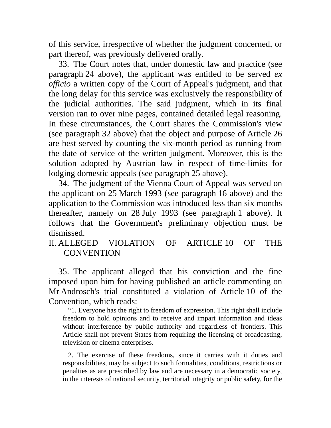of this service, irrespective of whether the judgment concerned, or part thereof, was previously delivered orally.

33. The Court notes that, under domestic law and practice (see paragraph 24 above), the applicant was entitled to be served *ex officio* a written copy of the Court of Appeal's judgment, and that the long delay for this service was exclusively the responsibility of the judicial authorities. The said judgment, which in its final version ran to over nine pages, contained detailed legal reasoning. In these circumstances, the Court shares the Commission's view (see paragraph 32 above) that the object and purpose of Article 26 are best served by counting the six-month period as running from the date of service of the written judgment. Moreover, this is the solution adopted by Austrian law in respect of time-limits for lodging domestic appeals (see paragraph 25 above).

34. The judgment of the Vienna Court of Appeal was served on the applicant on 25 March 1993 (see paragraph 16 above) and the application to the Commission was introduced less than six months thereafter, namely on 28 July 1993 (see paragraph 1 above). It follows that the Government's preliminary objection must be dismissed.

II. ALLEGED VIOLATION OF ARTICLE 10 OF THE **CONVENTION** 

35. The applicant alleged that his conviction and the fine imposed upon him for having published an article commenting on Mr Androsch's trial constituted a violation of Article 10 of the Convention, which reads:

"1. Everyone has the right to freedom of expression. This right shall include freedom to hold opinions and to receive and impart information and ideas without interference by public authority and regardless of frontiers. This Article shall not prevent States from requiring the licensing of broadcasting, television or cinema enterprises.

2. The exercise of these freedoms, since it carries with it duties and responsibilities, may be subject to such formalities, conditions, restrictions or penalties as are prescribed by law and are necessary in a democratic society, in the interests of national security, territorial integrity or public safety, for the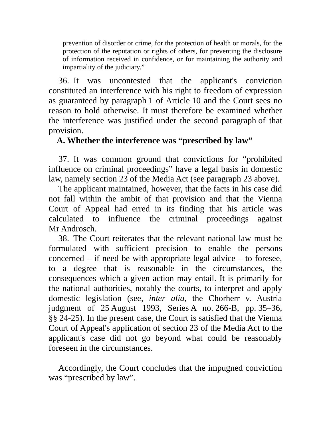prevention of disorder or crime, for the protection of health or morals, for the protection of the reputation or rights of others, for preventing the disclosure of information received in confidence, or for maintaining the authority and impartiality of the judiciary."

36. It was uncontested that the applicant's conviction constituted an interference with his right to freedom of expression as guaranteed by paragraph 1 of Article 10 and the Court sees no reason to hold otherwise. It must therefore be examined whether the interference was justified under the second paragraph of that provision.

## **A. Whether the interference was "prescribed by law"**

37. It was common ground that convictions for "prohibited influence on criminal proceedings" have a legal basis in domestic law, namely section 23 of the Media Act (see paragraph 23 above).

The applicant maintained, however, that the facts in his case did not fall within the ambit of that provision and that the Vienna Court of Appeal had erred in its finding that his article was calculated to influence the criminal proceedings against Mr Androsch.

38. The Court reiterates that the relevant national law must be formulated with sufficient precision to enable the persons concerned – if need be with appropriate legal advice – to foresee, to a degree that is reasonable in the circumstances, the consequences which a given action may entail. It is primarily for the national authorities, notably the courts, to interpret and apply domestic legislation (see, *inter alia*, the Chorherr v. Austria judgment of 25 August 1993, Series A no. 266-B, pp. 35–36, §§ 24-25). In the present case, the Court is satisfied that the Vienna Court of Appeal's application of section 23 of the Media Act to the applicant's case did not go beyond what could be reasonably foreseen in the circumstances.

Accordingly, the Court concludes that the impugned conviction was "prescribed by law".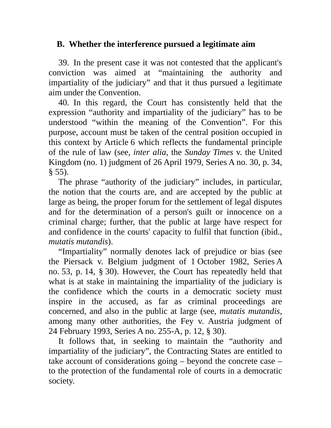## **B. Whether the interference pursued a legitimate aim**

39. In the present case it was not contested that the applicant's conviction was aimed at "maintaining the authority and impartiality of the judiciary" and that it thus pursued a legitimate aim under the Convention.

40. In this regard, the Court has consistently held that the expression "authority and impartiality of the judiciary" has to be understood "within the meaning of the Convention". For this purpose, account must be taken of the central position occupied in this context by Article 6 which reflects the fundamental principle of the rule of law (see, *inter alia*, the *Sunday Times* v. the United Kingdom (no. 1) judgment of 26 April 1979, Series A no. 30, p. 34,  $§ 55$ ).

The phrase "authority of the judiciary" includes, in particular, the notion that the courts are, and are accepted by the public at large as being, the proper forum for the settlement of legal disputes and for the determination of a person's guilt or innocence on a criminal charge; further, that the public at large have respect for and confidence in the courts' capacity to fulfil that function (ibid., *mutatis mutandis*).

"Impartiality" normally denotes lack of prejudice or bias (see the Piersack v. Belgium judgment of 1 October 1982, Series A no. 53, p. 14, § 30). However, the Court has repeatedly held that what is at stake in maintaining the impartiality of the judiciary is the confidence which the courts in a democratic society must inspire in the accused, as far as criminal proceedings are concerned, and also in the public at large (see, *mutatis mutandis*, among many other authorities, the Fey v. Austria judgment of 24 February 1993, Series A no. 255-A, p. 12, § 30).

It follows that, in seeking to maintain the "authority and impartiality of the judiciary", the Contracting States are entitled to take account of considerations going – beyond the concrete case – to the protection of the fundamental role of courts in a democratic society.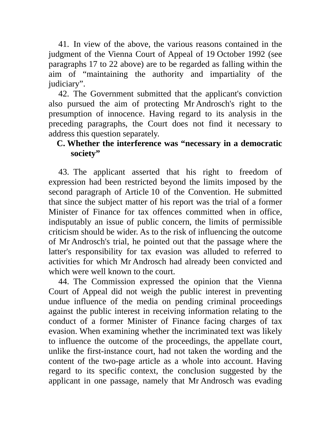41. In view of the above, the various reasons contained in the judgment of the Vienna Court of Appeal of 19 October 1992 (see paragraphs 17 to 22 above) are to be regarded as falling within the aim of "maintaining the authority and impartiality of the judiciary".

42. The Government submitted that the applicant's conviction also pursued the aim of protecting Mr Androsch's right to the presumption of innocence. Having regard to its analysis in the preceding paragraphs, the Court does not find it necessary to address this question separately.

## **C. Whether the interference was "necessary in a democratic society"**

43. The applicant asserted that his right to freedom of expression had been restricted beyond the limits imposed by the second paragraph of Article 10 of the Convention. He submitted that since the subject matter of his report was the trial of a former Minister of Finance for tax offences committed when in office, indisputably an issue of public concern, the limits of permissible criticism should be wider. As to the risk of influencing the outcome of Mr Androsch's trial, he pointed out that the passage where the latter's responsibility for tax evasion was alluded to referred to activities for which Mr Androsch had already been convicted and which were well known to the court.

44. The Commission expressed the opinion that the Vienna Court of Appeal did not weigh the public interest in preventing undue influence of the media on pending criminal proceedings against the public interest in receiving information relating to the conduct of a former Minister of Finance facing charges of tax evasion. When examining whether the incriminated text was likely to influence the outcome of the proceedings, the appellate court, unlike the first-instance court, had not taken the wording and the content of the two-page article as a whole into account. Having regard to its specific context, the conclusion suggested by the applicant in one passage, namely that Mr Androsch was evading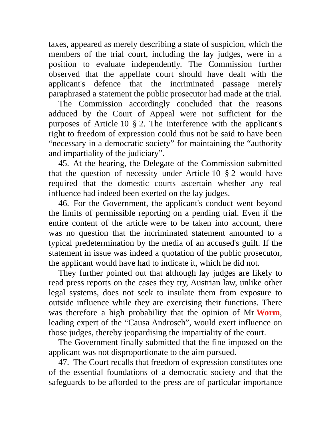taxes, appeared as merely describing a state of suspicion, which the members of the trial court, including the lay judges, were in a position to evaluate independently. The Commission further observed that the appellate court should have dealt with the applicant's defence that the incriminated passage merely paraphrased a statement the public prosecutor had made at the trial.

The Commission accordingly concluded that the reasons adduced by the Court of Appeal were not sufficient for the purposes of Article 10 § 2. The interference with the applicant's right to freedom of expression could thus not be said to have been "necessary in a democratic society" for maintaining the "authority and impartiality of the judiciary".

45. At the hearing, the Delegate of the Commission submitted that the question of necessity under Article 10 § 2 would have required that the domestic courts ascertain whether any real influence had indeed been exerted on the lay judges.

46. For the Government, the applicant's conduct went beyond the limits of permissible reporting on a pending trial. Even if the entire content of the article were to be taken into account, there was no question that the incriminated statement amounted to a typical predetermination by the media of an accused's guilt. If the statement in issue was indeed a quotation of the public prosecutor, the applicant would have had to indicate it, which he did not.

They further pointed out that although lay judges are likely to read press reports on the cases they try, Austrian law, unlike other legal systems, does not seek to insulate them from exposure to outside influence while they are exercising their functions. There was therefore a high probability that the opinion of Mr **Worm**, leading expert of the "Causa Androsch", would exert influence on those judges, thereby jeopardising the impartiality of the court.

The Government finally submitted that the fine imposed on the applicant was not disproportionate to the aim pursued.

47. The Court recalls that freedom of expression constitutes one of the essential foundations of a democratic society and that the safeguards to be afforded to the press are of particular importance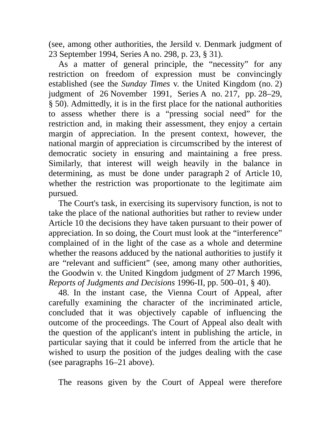(see, among other authorities, the Jersild v. Denmark judgment of 23 September 1994, Series A no. 298, p. 23, § 31).

As a matter of general principle, the "necessity" for any restriction on freedom of expression must be convincingly established (see the *Sunday Times* v. the United Kingdom (no. 2) judgment of 26 November 1991, Series A no. 217, pp. 28–29, § 50). Admittedly, it is in the first place for the national authorities to assess whether there is a "pressing social need" for the restriction and, in making their assessment, they enjoy a certain margin of appreciation. In the present context, however, the national margin of appreciation is circumscribed by the interest of democratic society in ensuring and maintaining a free press. Similarly, that interest will weigh heavily in the balance in determining, as must be done under paragraph 2 of Article 10, whether the restriction was proportionate to the legitimate aim pursued.

The Court's task, in exercising its supervisory function, is not to take the place of the national authorities but rather to review under Article 10 the decisions they have taken pursuant to their power of appreciation. In so doing, the Court must look at the "interference" complained of in the light of the case as a whole and determine whether the reasons adduced by the national authorities to justify it are "relevant and sufficient" (see, among many other authorities, the Goodwin v. the United Kingdom judgment of 27 March 1996, *Reports of Judgments and Decisions* 1996-II, pp. 500–01, § 40).

48. In the instant case, the Vienna Court of Appeal, after carefully examining the character of the incriminated article, concluded that it was objectively capable of influencing the outcome of the proceedings. The Court of Appeal also dealt with the question of the applicant's intent in publishing the article, in particular saying that it could be inferred from the article that he wished to usurp the position of the judges dealing with the case (see paragraphs 16–21 above).

The reasons given by the Court of Appeal were therefore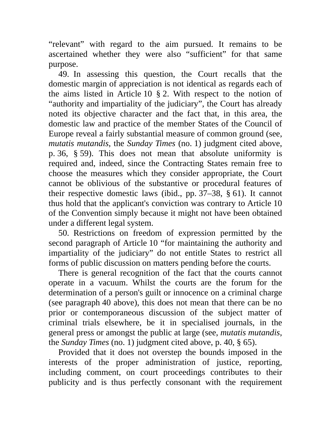"relevant" with regard to the aim pursued. It remains to be ascertained whether they were also "sufficient" for that same purpose.

49. In assessing this question, the Court recalls that the domestic margin of appreciation is not identical as regards each of the aims listed in Article 10 § 2. With respect to the notion of "authority and impartiality of the judiciary", the Court has already noted its objective character and the fact that, in this area, the domestic law and practice of the member States of the Council of Europe reveal a fairly substantial measure of common ground (see, *mutatis mutandis*, the *Sunday Times* (no. 1) judgment cited above, p. 36, § 59). This does not mean that absolute uniformity is required and, indeed, since the Contracting States remain free to choose the measures which they consider appropriate, the Court cannot be oblivious of the substantive or procedural features of their respective domestic laws (ibid., pp. 37–38, § 61). It cannot thus hold that the applicant's conviction was contrary to Article 10 of the Convention simply because it might not have been obtained under a different legal system.

50. Restrictions on freedom of expression permitted by the second paragraph of Article 10 "for maintaining the authority and impartiality of the judiciary" do not entitle States to restrict all forms of public discussion on matters pending before the courts.

There is general recognition of the fact that the courts cannot operate in a vacuum. Whilst the courts are the forum for the determination of a person's guilt or innocence on a criminal charge (see paragraph 40 above), this does not mean that there can be no prior or contemporaneous discussion of the subject matter of criminal trials elsewhere, be it in specialised journals, in the general press or amongst the public at large (see, *mutatis mutandis*, the *Sunday Times* (no. 1) judgment cited above, p. 40, § 65).

Provided that it does not overstep the bounds imposed in the interests of the proper administration of justice, reporting, including comment, on court proceedings contributes to their publicity and is thus perfectly consonant with the requirement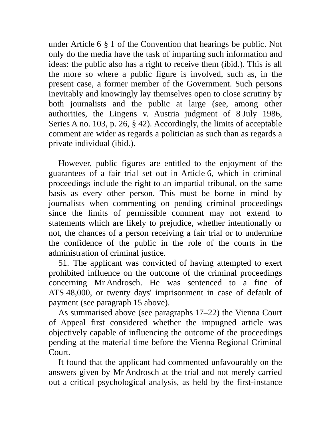under Article 6 § 1 of the Convention that hearings be public. Not only do the media have the task of imparting such information and ideas: the public also has a right to receive them (ibid.). This is all the more so where a public figure is involved, such as, in the present case, a former member of the Government. Such persons inevitably and knowingly lay themselves open to close scrutiny by both journalists and the public at large (see, among other authorities, the Lingens v. Austria judgment of 8 July 1986, Series A no. 103, p. 26, § 42). Accordingly, the limits of acceptable comment are wider as regards a politician as such than as regards a private individual (ibid.).

However, public figures are entitled to the enjoyment of the guarantees of a fair trial set out in Article 6, which in criminal proceedings include the right to an impartial tribunal, on the same basis as every other person. This must be borne in mind by journalists when commenting on pending criminal proceedings since the limits of permissible comment may not extend to statements which are likely to prejudice, whether intentionally or not, the chances of a person receiving a fair trial or to undermine the confidence of the public in the role of the courts in the administration of criminal justice.

51. The applicant was convicted of having attempted to exert prohibited influence on the outcome of the criminal proceedings concerning Mr Androsch. He was sentenced to a fine of ATS 48,000, or twenty days' imprisonment in case of default of payment (see paragraph 15 above).

As summarised above (see paragraphs 17–22) the Vienna Court of Appeal first considered whether the impugned article was objectively capable of influencing the outcome of the proceedings pending at the material time before the Vienna Regional Criminal Court.

It found that the applicant had commented unfavourably on the answers given by Mr Androsch at the trial and not merely carried out a critical psychological analysis, as held by the first-instance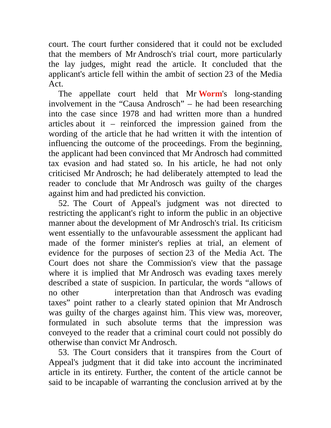court. The court further considered that it could not be excluded that the members of Mr Androsch's trial court, more particularly the lay judges, might read the article. It concluded that the applicant's article fell within the ambit of section 23 of the Media Act.

The appellate court held that Mr **Worm**'s long-standing involvement in the "Causa Androsch" – he had been researching into the case since 1978 and had written more than a hundred articles about it – reinforced the impression gained from the wording of the article that he had written it with the intention of influencing the outcome of the proceedings. From the beginning, the applicant had been convinced that Mr Androsch had committed tax evasion and had stated so. In his article, he had not only criticised Mr Androsch; he had deliberately attempted to lead the reader to conclude that Mr Androsch was guilty of the charges against him and had predicted his conviction.

52. The Court of Appeal's judgment was not directed to restricting the applicant's right to inform the public in an objective manner about the development of Mr Androsch's trial. Its criticism went essentially to the unfavourable assessment the applicant had made of the former minister's replies at trial, an element of evidence for the purposes of section 23 of the Media Act. The Court does not share the Commission's view that the passage where it is implied that Mr Androsch was evading taxes merely described a state of suspicion. In particular, the words "allows of no other interpretation than that Androsch was evading taxes" point rather to a clearly stated opinion that Mr Androsch was guilty of the charges against him. This view was, moreover, formulated in such absolute terms that the impression was conveyed to the reader that a criminal court could not possibly do otherwise than convict Mr Androsch.

53. The Court considers that it transpires from the Court of Appeal's judgment that it did take into account the incriminated article in its entirety. Further, the content of the article cannot be said to be incapable of warranting the conclusion arrived at by the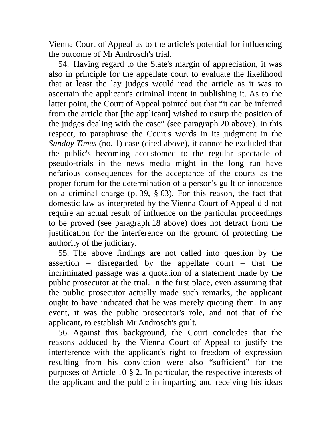Vienna Court of Appeal as to the article's potential for influencing the outcome of Mr Androsch's trial.

54. Having regard to the State's margin of appreciation, it was also in principle for the appellate court to evaluate the likelihood that at least the lay judges would read the article as it was to ascertain the applicant's criminal intent in publishing it. As to the latter point, the Court of Appeal pointed out that "it can be inferred from the article that [the applicant] wished to usurp the position of the judges dealing with the case" (see paragraph 20 above). In this respect, to paraphrase the Court's words in its judgment in the *Sunday Times* (no. 1) case (cited above), it cannot be excluded that the public's becoming accustomed to the regular spectacle of pseudo-trials in the news media might in the long run have nefarious consequences for the acceptance of the courts as the proper forum for the determination of a person's guilt or innocence on a criminal charge (p. 39, § 63). For this reason, the fact that domestic law as interpreted by the Vienna Court of Appeal did not require an actual result of influence on the particular proceedings to be proved (see paragraph 18 above) does not detract from the justification for the interference on the ground of protecting the authority of the judiciary.

55. The above findings are not called into question by the assertion – disregarded by the appellate court – that the incriminated passage was a quotation of a statement made by the public prosecutor at the trial. In the first place, even assuming that the public prosecutor actually made such remarks, the applicant ought to have indicated that he was merely quoting them. In any event, it was the public prosecutor's role, and not that of the applicant, to establish Mr Androsch's guilt.

56. Against this background, the Court concludes that the reasons adduced by the Vienna Court of Appeal to justify the interference with the applicant's right to freedom of expression resulting from his conviction were also "sufficient" for the purposes of Article 10 § 2. In particular, the respective interests of the applicant and the public in imparting and receiving his ideas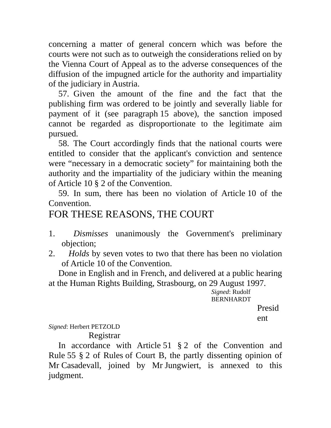concerning a matter of general concern which was before the courts were not such as to outweigh the considerations relied on by the Vienna Court of Appeal as to the adverse consequences of the diffusion of the impugned article for the authority and impartiality of the judiciary in Austria.

57. Given the amount of the fine and the fact that the publishing firm was ordered to be jointly and severally liable for payment of it (see paragraph 15 above), the sanction imposed cannot be regarded as disproportionate to the legitimate aim pursued.

58. The Court accordingly finds that the national courts were entitled to consider that the applicant's conviction and sentence were "necessary in a democratic society" for maintaining both the authority and the impartiality of the judiciary within the meaning of Article 10 § 2 of the Convention.

59. In sum, there has been no violation of Article 10 of the Convention.

# FOR THESE REASONS, THE COURT

- 1. *Dismisses* unanimously the Government's preliminary objection;
- 2. *Holds* by seven votes to two that there has been no violation of Article 10 of the Convention.

Done in English and in French, and delivered at a public hearing at the Human Rights Building, Strasbourg, on 29 August 1997.

*Signed*: Rudolf BERNHARDT

Presid

ent

### *Signed*: Herbert PETZOLD

Registrar

In accordance with Article 51 § 2 of the Convention and Rule 55 § 2 of Rules of Court B, the partly dissenting opinion of Mr Casadevall, joined by Mr Jungwiert, is annexed to this judgment.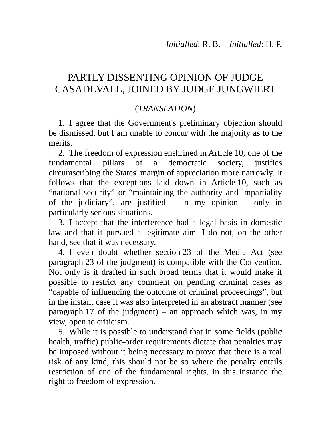# PARTLY DISSENTING OPINION OF JUDGE CASADEVALL, JOINED BY JUDGE JUNGWIERT

## (*TRANSLATION*)

1. I agree that the Government's preliminary objection should be dismissed, but I am unable to concur with the majority as to the merits.

2. The freedom of expression enshrined in Article 10, one of the fundamental pillars of a democratic society, justifies circumscribing the States' margin of appreciation more narrowly. It follows that the exceptions laid down in Article 10, such as "national security" or "maintaining the authority and impartiality of the judiciary", are justified – in my opinion – only in particularly serious situations.

3. I accept that the interference had a legal basis in domestic law and that it pursued a legitimate aim. I do not, on the other hand, see that it was necessary.

4. I even doubt whether section 23 of the Media Act (see paragraph 23 of the judgment) is compatible with the Convention. Not only is it drafted in such broad terms that it would make it possible to restrict any comment on pending criminal cases as "capable of influencing the outcome of criminal proceedings", but in the instant case it was also interpreted in an abstract manner (see paragraph 17 of the judgment) – an approach which was, in my view, open to criticism.

5. While it is possible to understand that in some fields (public health, traffic) public-order requirements dictate that penalties may be imposed without it being necessary to prove that there is a real risk of any kind, this should not be so where the penalty entails restriction of one of the fundamental rights, in this instance the right to freedom of expression.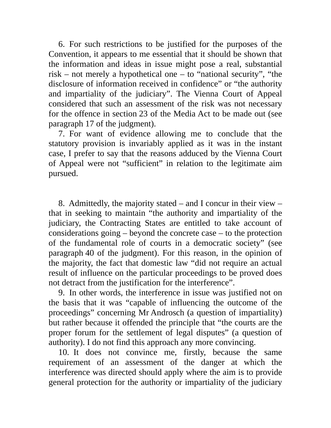6. For such restrictions to be justified for the purposes of the Convention, it appears to me essential that it should be shown that the information and ideas in issue might pose a real, substantial risk – not merely a hypothetical one – to "national security", "the disclosure of information received in confidence" or "the authority and impartiality of the judiciary". The Vienna Court of Appeal considered that such an assessment of the risk was not necessary for the offence in section 23 of the Media Act to be made out (see paragraph 17 of the judgment).

7. For want of evidence allowing me to conclude that the statutory provision is invariably applied as it was in the instant case, I prefer to say that the reasons adduced by the Vienna Court of Appeal were not "sufficient" in relation to the legitimate aim pursued.

8. Admittedly, the majority stated – and I concur in their view – that in seeking to maintain "the authority and impartiality of the judiciary, the Contracting States are entitled to take account of considerations going – beyond the concrete case – to the protection of the fundamental role of courts in a democratic society" (see paragraph 40 of the judgment). For this reason, in the opinion of the majority, the fact that domestic law "did not require an actual result of influence on the particular proceedings to be proved does not detract from the justification for the interference".

9. In other words, the interference in issue was justified not on the basis that it was "capable of influencing the outcome of the proceedings" concerning Mr Androsch (a question of impartiality) but rather because it offended the principle that "the courts are the proper forum for the settlement of legal disputes" (a question of authority). I do not find this approach any more convincing.

10. It does not convince me, firstly, because the same requirement of an assessment of the danger at which the interference was directed should apply where the aim is to provide general protection for the authority or impartiality of the judiciary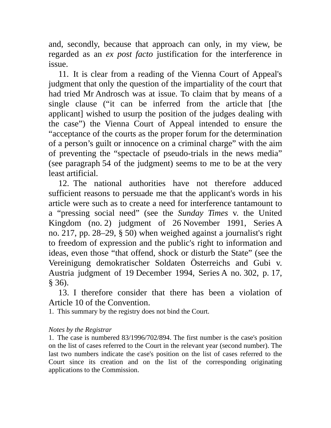and, secondly, because that approach can only, in my view, be regarded as an *ex post facto* justification for the interference in issue.

11. It is clear from a reading of the Vienna Court of Appeal's judgment that only the question of the impartiality of the court that had tried Mr Androsch was at issue. To claim that by means of a single clause ("it can be inferred from the article that [the applicant] wished to usurp the position of the judges dealing with the case") the Vienna Court of Appeal intended to ensure the "acceptance of the courts as the proper forum for the determination of a person's guilt or innocence on a criminal charge" with the aim of preventing the "spectacle of pseudo-trials in the news media" (see paragraph 54 of the judgment) seems to me to be at the very least artificial.

12. The national authorities have not therefore adduced sufficient reasons to persuade me that the applicant's words in his article were such as to create a need for interference tantamount to a "pressing social need" (see the *Sunday Times* v. the United Kingdom (no. 2) judgment of 26 November 1991, Series A no. 217, pp. 28–29, § 50) when weighed against a journalist's right to freedom of expression and the public's right to information and ideas, even those "that offend, shock or disturb the State" (see the Vereinigung demokratischer Soldaten Österreichs and Gubi v. Austria judgment of 19 December 1994, Series A no. 302, p. 17, § 36).

13. I therefore consider that there has been a violation of Article 10 of the Convention.

1. This summary by the registry does not bind the Court.

#### *Notes by the Registrar*

1. The case is numbered 83/1996/702/894. The first number is the case's position on the list of cases referred to the Court in the relevant year (second number). The last two numbers indicate the case's position on the list of cases referred to the Court since its creation and on the list of the corresponding originating applications to the Commission.